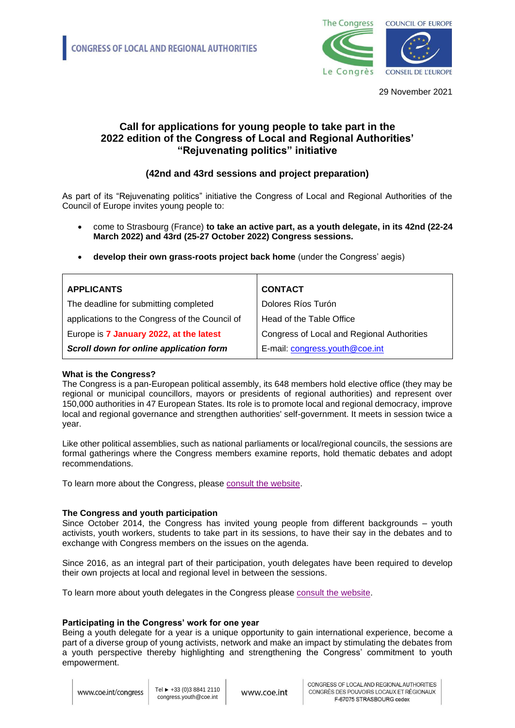

29 November 2021

# **Call for applications for young people to take part in the 2022 edition of the Congress of Local and Regional Authorities' "Rejuvenating politics" initiative**

# **(42nd and 43rd sessions and project preparation)**

As part of its "Rejuvenating politics" initiative the Congress of Local and Regional Authorities of the Council of Europe invites young people to:

• come to Strasbourg (France) **to take an active part, as a youth delegate, in its 42nd (22-24 March 2022) and 43rd (25-27 October 2022) Congress sessions.**

| <b>APPLICANTS</b>                              | <b>CONTACT</b>                             |
|------------------------------------------------|--------------------------------------------|
| The deadline for submitting completed          | Dolores Ríos Turón                         |
| applications to the Congress of the Council of | Head of the Table Office                   |
| Europe is 7 January 2022, at the latest        | Congress of Local and Regional Authorities |
| Scroll down for online application form        | E-mail: congress.youth@coe.int             |

• **develop their own grass-roots project back home** (under the Congress' aegis)

## **What is the Congress?**

The Congress is a pan-European political assembly, its 648 members hold elective office (they may be regional or municipal councillors, mayors or presidents of regional authorities) and represent over 150,000 authorities in 47 European States. Its role is to promote local and regional democracy, improve local and regional governance and strengthen authorities' self-government. It meets in session twice a year.

Like other political assemblies, such as national parliaments or local/regional councils, the sessions are formal gatherings where the Congress members examine reports, hold thematic debates and adopt recommendations.

To learn more about the Congress, please [consult the website.](https://www.coe.int/en/web/congress/home)

## **The Congress and youth participation**

Since October 2014, the Congress has invited young people from different backgrounds – youth activists, youth workers, students to take part in its sessions, to have their say in the debates and to exchange with Congress members on the issues on the agenda.

Since 2016, as an integral part of their participation, youth delegates have been required to develop their own projects at local and regional level in between the sessions.

To learn more about youth delegates in the Congress please [consult the website.](https://www.coe.int/en/web/congress/youth-delegates)

## **Participating in the Congress' work for one year**

Being a youth delegate for a year is a unique opportunity to gain international experience, become a part of a diverse group of young activists, network and make an impact by stimulating the debates from a youth perspective thereby highlighting and strengthening the Congress' commitment to youth empowerment.

www.coe.int/congress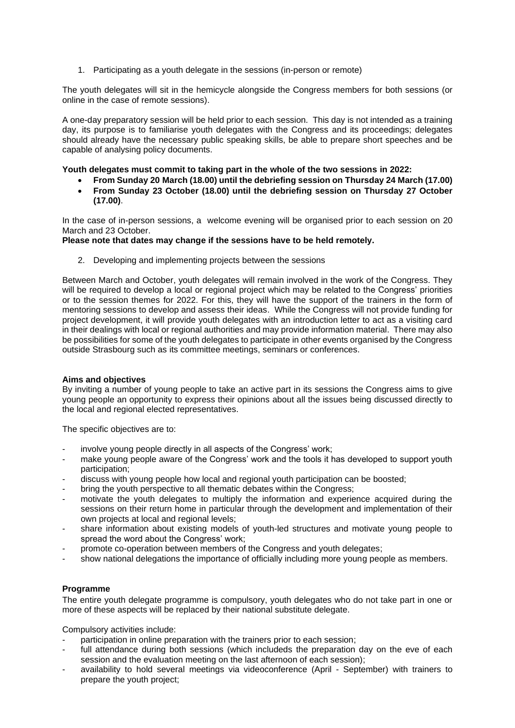1. Participating as a youth delegate in the sessions (in-person or remote)

The youth delegates will sit in the hemicycle alongside the Congress members for both sessions (or online in the case of remote sessions).

A one-day preparatory session will be held prior to each session. This day is not intended as a training day, its purpose is to familiarise youth delegates with the Congress and its proceedings; delegates should already have the necessary public speaking skills, be able to prepare short speeches and be capable of analysing policy documents.

### **Youth delegates must commit to taking part in the whole of the two sessions in 2022:**

- **From Sunday 20 March (18.00) until the debriefing session on Thursday 24 March (17.00)**
- **From Sunday 23 October (18.00) until the debriefing session on Thursday 27 October (17.00)**.

In the case of in-person sessions, a welcome evening will be organised prior to each session on 20 March and 23 October.

### **Please note that dates may change if the sessions have to be held remotely.**

2. Developing and implementing projects between the sessions

Between March and October, youth delegates will remain involved in the work of the Congress. They will be required to develop a local or regional project which may be related to the Congress' priorities or to the session themes for 2022. For this, they will have the support of the trainers in the form of mentoring sessions to develop and assess their ideas. While the Congress will not provide funding for project development, it will provide youth delegates with an introduction letter to act as a visiting card in their dealings with local or regional authorities and may provide information material. There may also be possibilities for some of the youth delegates to participate in other events organised by the Congress outside Strasbourg such as its committee meetings, seminars or conferences.

#### **Aims and objectives**

By inviting a number of young people to take an active part in its sessions the Congress aims to give young people an opportunity to express their opinions about all the issues being discussed directly to the local and regional elected representatives.

The specific objectives are to:

- involve young people directly in all aspects of the Congress' work;
- make young people aware of the Congress' work and the tools it has developed to support youth participation;
- discuss with young people how local and regional youth participation can be boosted;
- bring the youth perspective to all thematic debates within the Congress;
- motivate the youth delegates to multiply the information and experience acquired during the sessions on their return home in particular through the development and implementation of their own projects at local and regional levels;
- share information about existing models of youth-led structures and motivate young people to spread the word about the Congress' work;
- promote co-operation between members of the Congress and youth delegates;
- show national delegations the importance of officially including more young people as members.

## **Programme**

The entire youth delegate programme is compulsory, youth delegates who do not take part in one or more of these aspects will be replaced by their national substitute delegate.

Compulsory activities include:

- participation in online preparation with the trainers prior to each session;
- full attendance during both sessions (which includeds the preparation day on the eve of each session and the evaluation meeting on the last afternoon of each session);
- availability to hold several meetings via videoconference (April September) with trainers to prepare the youth project;